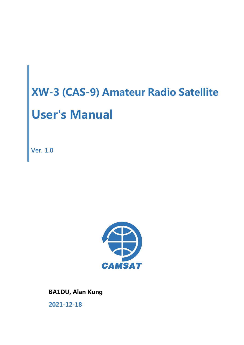**Ver. 1.0**



**BA1DU, Alan Kung**

**2021-12-18**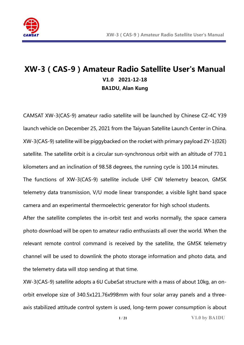

# **XW-3(CAS-9)Amateur Radio Satellite User's Manual V1.0 2021-12-18 BA1DU, Alan Kung**

CAMSAT XW-3(CAS-9) amateur radio satellite will be launched by Chinese CZ-4C Y39 launch vehicle on December 25, 2021 from the Taiyuan Satellite Launch Center in China. XW-3(CAS-9) satellite will be piggybacked on the rocket with primary payload ZY-1(02E) satellite. The satellite orbit is a circular sun-synchronous orbit with an altitude of 770.1 kilometers and an inclination of 98.58 degrees, the running cycle is 100.14 minutes. The functions of XW-3(CAS-9) satellite include UHF CW telemetry beacon, GMSK telemetry data transmission, V/U mode linear transponder, a visible light band space camera and an experimental thermoelectric generator for high school students.

After the satellite completes the in-orbit test and works normally, the space camera photo download will be open to amateur radio enthusiasts all over the world. When the relevant remote control command is received by the satellite, the GMSK telemetry channel will be used to downlink the photo storage information and photo data, and the telemetry data will stop sending at that time.

XW-3(CAS-9) satellite adopts a 6U CubeSat structure with a mass of about 10kg, an onorbit envelope size of 340.5x121.76x998mm with four solar array panels and a threeaxis stabilized attitude control system is used, long-term power consumption is about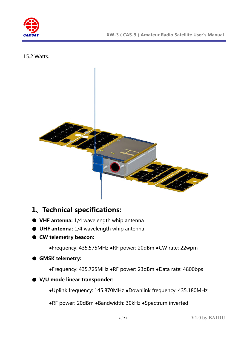

15.2 Watts.



# **1、Technical specifications:**

- **VHF antenna:** 1/4 wavelength whip antenna
- **UHF antenna:** 1/4 wavelength whip antenna
- **CW telemetry beacon:**

**●**Frequency: 435.575MHz **●**RF power: 20dBm **●**CW rate: 22wpm

#### ● **GMSK telemetry:**

**●**Frequency: 435.725MHz **●**RF power: 23dBm **●**Data rate: 4800bps

#### ● **V/U mode linear transponder:**

**●**Uplink frequency: 145.870MHz **●**Downlink frequency: 435.180MHz

**●**RF power: 20dBm **●**Bandwidth: 30kHz **●**Spectrum inverted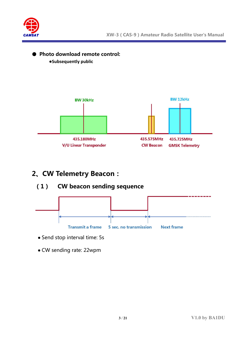

#### ● **Photo download remote control:**

**●Subsequently public**



# **2、CW Telemetry Beacon:**

### **(1) CW beacon sending sequence**



- Send stop interval time: 5s
- CW sending rate: 22wpm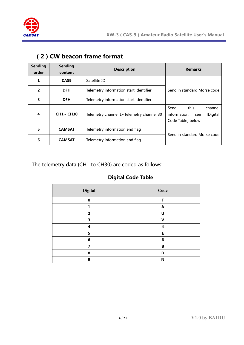

| <b>Sending</b><br>order | <b>Sending</b><br>content | <b>Description</b>                       | <b>Remarks</b>                                                                  |  |  |
|-------------------------|---------------------------|------------------------------------------|---------------------------------------------------------------------------------|--|--|
| 1                       | CAS <sub>9</sub>          | Satellite ID                             |                                                                                 |  |  |
| $\overline{2}$          | <b>DFH</b>                | Telemetry information start identifier   | Send in standard Morse code                                                     |  |  |
| 3                       | <b>DFH</b>                | Telemetry information start identifier   |                                                                                 |  |  |
| 4                       | <b>CH1~ CH30</b>          | Telemetry channel 1~Telemetry channel 30 | this<br>Send<br>channel<br>information,<br>[Digital<br>see<br>Code Table] below |  |  |
| 5                       | <b>CAMSAT</b>             | Telemetry information end flag           |                                                                                 |  |  |
| 6                       | <b>CAMSAT</b>             | Telemetry information end flag           | Send in standard Morse code                                                     |  |  |

## **(2)CW beacon frame format**

The telemetry data (CH1 to CH30) are coded as follows:

#### **Digital Code Table**

| Digital        | Code |
|----------------|------|
| $\bf{0}$       | т    |
| 1              | A    |
| $\overline{2}$ | U    |
| 3              | V    |
| 4              | 4    |
| 5              | E    |
| 6              | 6    |
| 7              | B    |
| 8              | D    |
| 9              | N    |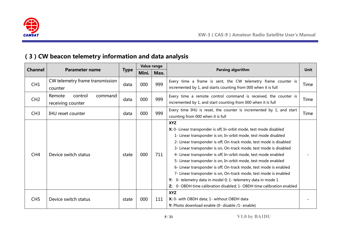

# **(3)CW beacon telemetry information and data analysis**

|                 |                                                   |             | Value range |      |                                                                                                                                                                                                                                                                                                                                                                                                                                                                                                                                                                                                                                                                                                                           |      |
|-----------------|---------------------------------------------------|-------------|-------------|------|---------------------------------------------------------------------------------------------------------------------------------------------------------------------------------------------------------------------------------------------------------------------------------------------------------------------------------------------------------------------------------------------------------------------------------------------------------------------------------------------------------------------------------------------------------------------------------------------------------------------------------------------------------------------------------------------------------------------------|------|
| <b>Channel</b>  | <b>Parameter name</b>                             | <b>Type</b> | Mini.       | Max. | <b>Parsing algorithm</b>                                                                                                                                                                                                                                                                                                                                                                                                                                                                                                                                                                                                                                                                                                  | Unit |
| CH1             | CW telemetry frame transmission<br>counter        | data        | 000         | 999  | Every time a frame is sent, the CW telemetry frame counter is<br>incremented by 1, and starts counting from 000 when it is full                                                                                                                                                                                                                                                                                                                                                                                                                                                                                                                                                                                           | Time |
| CH2             | Remote<br>control<br>command<br>receiving counter | data        | 000         | 999  | Every time a remote control command is received, the counter is<br>incremented by 1, and start counting from 000 when it is full                                                                                                                                                                                                                                                                                                                                                                                                                                                                                                                                                                                          | Time |
| CH3             | <b>IHU</b> reset counter                          | data        | 000         | 999  | Every time IHU is reset, the counter is incremented by 1, and start<br>counting from 000 when it is full                                                                                                                                                                                                                                                                                                                                                                                                                                                                                                                                                                                                                  | Time |
| CH <sub>4</sub> | Device switch status                              | state       | 000         | 711  | <b>XYZ</b><br>X: 0- Linear transponder is off, In-orbit mode, test mode disabled<br>1- Linear transponder is on, In-orbit mode, test mode disabled<br>2- Linear transponder is off, On-track mode, test mode is disabled<br>3- Linear transponder is on, On-track mode, test mode is disabled<br>4- Linear transponder is off, In-orbit mode, test mode enabled<br>5- Linear transponder is on, In-orbit mode, test mode enabled<br>6- Linear transponder is off, On-track mode, test mode is enabled<br>7- Linear transponder is on, On-track mode, test mode is enabled<br>0- telemetry data in model 0; 1- telemetry data in mode 1<br>Y:<br>0- OBDH time calibration disabled; 1- OBDH time calibration enabled<br>Z: |      |
| CH <sub>5</sub> | Device switch status                              | state       | 000         | 111  | <b>XYZ</b><br>X: 0- with OBDH data; 1- without OBDH data<br>Y: Photo download enable (0- disable /1- enable)                                                                                                                                                                                                                                                                                                                                                                                                                                                                                                                                                                                                              |      |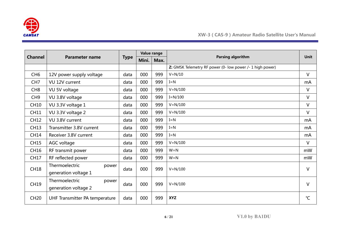

|                 |                                |             | Value range |      |                                                           | <b>Unit</b>  |
|-----------------|--------------------------------|-------------|-------------|------|-----------------------------------------------------------|--------------|
| <b>Channel</b>  | <b>Parameter name</b>          | <b>Type</b> | Mini.       | Max. | Parsing algorithm                                         |              |
|                 |                                |             |             |      | Z: GMSK Telemetry RF power (0- low power /- 1 high power) |              |
| CH <sub>6</sub> | 12V power supply voltage       | data        | 000         | 999  | $V = N/10$                                                | $\vee$       |
| CH <sub>7</sub> | VU 12V current                 | data        | 000         | 999  | $I = N$                                                   | mA           |
| CH <sub>8</sub> | VU 5V voltage                  | data        | 000         | 999  | $V = N/100$                                               | $\vee$       |
| CH <sub>9</sub> | VU 3.8V voltage                | data        | 000         | 999  | $I=N/100$                                                 | $\vee$       |
| <b>CH10</b>     | VU 3.3V voltage 1              | data        | 000         | 999  | $V = N/100$                                               | V            |
| <b>CH11</b>     | VU 3.3V voltage 2              | data        | 000         | 999  | $V = N/100$                                               | $\vee$       |
| <b>CH12</b>     | VU 3.8V current                | data        | 000         | 999  | $I = N$                                                   | mA           |
| <b>CH13</b>     | Transmitter 3.8V current       | data        | 000         | 999  | $I = N$                                                   | mA           |
| <b>CH14</b>     | Receiver 3.8V current          | data        | 000         | 999  | $I = N$                                                   | mA           |
| <b>CH15</b>     | AGC voltage                    | data        | 000         | 999  | $V = N/100$                                               | $\vee$       |
| <b>CH16</b>     | RF transmit power              | data        | 000         | 999  | $W = N$                                                   | mW           |
| <b>CH17</b>     | RF reflected power             | data        | 000         | 999  | $W = N$                                                   | mW           |
| <b>CH18</b>     | Thermoelectric<br>power        | data        | 000         | 999  | $V = N/100$                                               | $\vee$       |
|                 | generation voltage 1           |             |             |      |                                                           |              |
| <b>CH19</b>     | Thermoelectric<br>power        | data        | 000         | 999  | $V = N/100$                                               | $\vee$       |
|                 | generation voltage 2           |             |             |      |                                                           |              |
| <b>CH20</b>     | UHF Transmitter PA temperature | data        | 000         | 999  | <b>XYZ</b>                                                | $\mathrm{C}$ |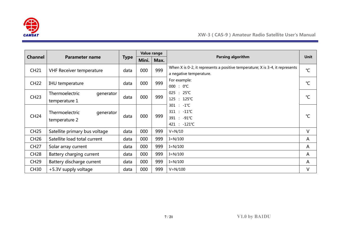

|                |                                              |             | Value range |      |                                                                                                             |               |
|----------------|----------------------------------------------|-------------|-------------|------|-------------------------------------------------------------------------------------------------------------|---------------|
| <b>Channel</b> | <b>Parameter name</b>                        | <b>Type</b> | Mini.       | Max. | Parsing algorithm                                                                                           | <b>Unit</b>   |
| <b>CH21</b>    | <b>VHF Receiver temperature</b>              | data        | 000         | 999  | When $X$ is 0-2, it represents a positive temperature; $X$ is 3-4, it represents<br>a negative temperature. | $^{\circ}C$   |
| <b>CH22</b>    | IHU temperature                              | data        | 000         | 999  | For example:<br>$000 : 0^{\circ}C$                                                                          | $^{\circ}C$   |
| <b>CH23</b>    | Thermoelectric<br>generator<br>temperature 1 | data        | 000         | 999  | $025 : 25^{\circ}C$<br>125 : 125℃                                                                           | $\mathcal{C}$ |
| <b>CH24</b>    | Thermoelectric<br>generator<br>temperature 2 | data        | 000         | 999  | $301 : -1^{\circ}C$<br>311 : -11°C<br>391 : -91℃<br>421 : -121℃                                             | $^{\circ}C$   |
| <b>CH25</b>    | Satellite primary bus voltage                | data        | 000         | 999  | $V = N/10$                                                                                                  | V             |
| <b>CH26</b>    | Satellite load total current                 | data        | 000         | 999  | $I = N/100$                                                                                                 | A             |
| <b>CH27</b>    | Solar array current                          | data        | 000         | 999  | $I = N/100$                                                                                                 | A             |
| <b>CH28</b>    | Battery charging current                     | data        | 000         | 999  | $I = N/100$                                                                                                 | A             |
| <b>CH29</b>    | Battery discharge current                    | data        | 000         | 999  | $I = N/100$                                                                                                 | A             |
| <b>CH30</b>    | +5.3V supply voltage                         | data        | 000         | 999  | $V = N/100$                                                                                                 | V             |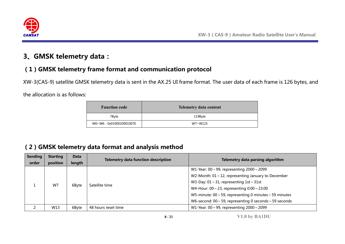

# **3、GMSK telemetry data:**

## **(1)GMSK telemetry frame format and communication protocol**

XW-3(CAS-9) satellite GMSK telemetry data is sent in the AX.25 UI frame format. The user data of each frame is 126 bytes, and

the allocation is as follows:

| <b>Function code</b>   | <b>Telemetry data content</b> |
|------------------------|-------------------------------|
| 7Byte                  | 119Byte                       |
| W0~W6:0x0100010001007E | W7~W125                       |

# **(2)GMSK telemetry data format and analysis method**

| <b>Sending</b><br>order | <b>Starting</b><br>position | <b>Data</b><br>length | <b>Telemetry data function description</b> | Telemetry data parsing algorithm                                   |
|-------------------------|-----------------------------|-----------------------|--------------------------------------------|--------------------------------------------------------------------|
|                         |                             |                       | Satellite time                             | W1-Year: $00 \sim 99$ , representing $2000 \sim 2099$              |
|                         |                             | W7<br>6Byte           |                                            | W2-Month: $01 \sim 12$ , representing January to December          |
|                         |                             |                       |                                            | W3-Day: $01 \sim 31$ , representing $1st \sim 31st$                |
|                         |                             |                       |                                            | W4-Hour: $00 \sim 23$ , representing $0:00 \sim 23:00$             |
|                         |                             |                       |                                            | W5-minute: $00 \sim 59$ , representing 0 minutes $\sim 59$ minutes |
|                         |                             |                       |                                            | W6-second: $00 \sim 59$ , representing 0 seconds $\sim 59$ seconds |
|                         | W13                         | 6Byte                 | 48 hours reset time                        | W1-Year: $00 \sim 99$ , representing $2000 \sim 2099$              |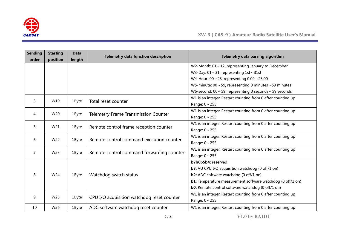

| <b>Sending</b><br>order | <b>Starting</b><br>position | <b>Data</b><br>length | <b>Telemetry data function description</b>  | Telemetry data parsing algorithm                                   |
|-------------------------|-----------------------------|-----------------------|---------------------------------------------|--------------------------------------------------------------------|
|                         |                             |                       |                                             | W2-Month: $01 \sim 12$ , representing January to December          |
|                         |                             |                       |                                             | W3-Day: $01 \sim 31$ , representing $1st \sim 31st$                |
|                         |                             |                       |                                             | W4-Hour: $00 \sim 23$ , representing $0:00 \sim 23:00$             |
|                         |                             |                       |                                             | W5-minute: $00 \sim 59$ , representing 0 minutes $\sim 59$ minutes |
|                         |                             |                       |                                             | W6-second: $00 \sim 59$ , representing 0 seconds $\sim 59$ seconds |
|                         |                             |                       |                                             | W1 is an integer. Restart counting from 0 after counting up        |
| 3                       | W19                         | 1Byte                 | Total reset counter                         | Range: $0 \sim 255$                                                |
| 4                       | W20                         |                       |                                             | W1 is an integer. Restart counting from 0 after counting up        |
|                         |                             | 1Byte                 | <b>Telemetry Frame Transmission Counter</b> | Range: $0 \sim 255$                                                |
| 5                       | W21                         | 1Byte                 |                                             | W1 is an integer. Restart counting from 0 after counting up        |
|                         |                             |                       | Remote control frame reception counter      | Range: $0 \sim 255$                                                |
| 6                       | W22                         | 1Byte                 | Remote control command execution counter    | W1 is an integer. Restart counting from 0 after counting up        |
|                         |                             |                       |                                             | Range: 0~255                                                       |
| 7                       | W23                         | 1Byte                 | Remote control command forwarding counter   | W1 is an integer. Restart counting from 0 after counting up        |
|                         |                             |                       |                                             | Range: 0~255                                                       |
|                         |                             |                       |                                             | b7b6b5b4: reserved                                                 |
|                         |                             |                       |                                             | <b>b3:</b> VU CPU I/O acquisition watchdog (0 off/1 on)            |
| 8                       | W24                         | 1Byte                 | Watchdog switch status                      | <b>b2:</b> ADC software watchdog (0 off/1 on)                      |
|                         |                             |                       |                                             | <b>b1:</b> Temperature measurement software watchdog (0 off/1 on)  |
|                         |                             |                       |                                             | <b>b0:</b> Remote control software watchdog (0 off/1 on)           |
| 9                       | W25                         | 1Byte                 | CPU I/O acquisition watchdog reset counter  | W1 is an integer. Restart counting from 0 after counting up        |
|                         |                             |                       |                                             | Range: 0~255                                                       |
| 10                      | W26                         | 1Byte                 | ADC software watchdog reset counter         | W1 is an integer. Restart counting from 0 after counting up        |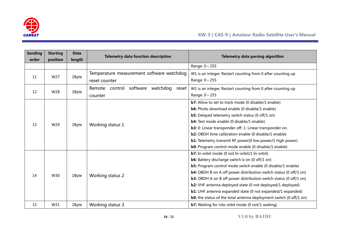

| <b>Sending</b> | <b>Starting</b> | <b>Data</b> | <b>Telemetry data function description</b>      | Telemetry data parsing algorithm                                                            |
|----------------|-----------------|-------------|-------------------------------------------------|---------------------------------------------------------------------------------------------|
| order          | position        | length      |                                                 |                                                                                             |
|                |                 |             |                                                 | Range: 0~255                                                                                |
| 11             | W27             | 1Byte       | Temperature measurement software watchdog       | W1 is an integer. Restart counting from 0 after counting up                                 |
|                |                 |             | reset counter                                   | Range: $0 \sim 255$                                                                         |
|                |                 |             | software<br>watchdog<br>Remote control<br>reset | W1 is an integer. Restart counting from 0 after counting up                                 |
| 12             | W28             | 1Byte       | counter                                         | Range: $0 \sim 255$                                                                         |
|                |                 |             |                                                 | <b>b7:</b> Allow to set to track mode (0 disable/1 enable)                                  |
|                |                 |             |                                                 | <b>b6:</b> Photo download enable (0 disable/1 enable)                                       |
|                |                 |             |                                                 | <b>b5:</b> Delayed telemetry switch status (0 off/1 on)                                     |
|                |                 | 1Byte       |                                                 | <b>b4:</b> Test mode enable (0 disable/1 enable)                                            |
| 13             | W29             |             | Working status 1                                | <b>b3:</b> 0: Linear transponder off; 1: Linear transponder on.                             |
|                |                 |             |                                                 | <b>b2:</b> OBDH time calibration enable (0 disable/1 enable)                                |
|                |                 |             |                                                 | <b>b1:</b> Telemetry transmit RF power(0 low power/1 high power)                            |
|                |                 |             |                                                 | <b>b0:</b> Program control mode enable (0-disable/1 enable)                                 |
|                |                 |             |                                                 | <b>b7:</b> In-orbit mode (0 not In-orbit/1 In-orbit)                                        |
|                |                 |             |                                                 | <b>b6:</b> Battery discharge switch is on (0 off/1 on)                                      |
|                |                 |             |                                                 | <b>b5:</b> Program control mode switch enable (0 disable/1 enable)                          |
| 14             | W30             |             |                                                 | <b>b4:</b> OBDH B on A off power distribution switch status (0 off/1 on)                    |
|                |                 | 1Byte       | Working status 2                                | <b>b3:</b> OBDH A on B off power distribution switch status (0 off/1 on)                    |
|                |                 |             |                                                 | b2: VHF antenna deployed state (0 not deployed/1 deployed)                                  |
|                |                 |             |                                                 | <b>b1:</b> UHF antenna expanded state (0 not expanded/1 expanded)                           |
|                |                 |             |                                                 | <b>b0:</b> the status of the total antenna deployment switch $(0 \text{ off}/1 \text{ on})$ |
| 15             | W31             | 1Byte       | Working status 3                                | <b>b7:</b> Waiting for into orbit mode (0 not/1 waiting)                                    |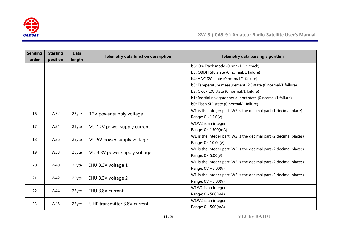

| <b>Sending</b><br>order | <b>Starting</b><br>position | <b>Data</b><br>length | <b>Telemetry data function description</b> | Telemetry data parsing algorithm                                     |
|-------------------------|-----------------------------|-----------------------|--------------------------------------------|----------------------------------------------------------------------|
|                         |                             |                       |                                            | <b>b6:</b> On-Track mode (0 non/1 On-track)                          |
|                         |                             |                       |                                            | <b>b5:</b> OBDH SPI state (0 normal/1 failure)                       |
|                         |                             |                       |                                            | <b>b4:</b> ADC I2C state (0 normal/1 failure)                        |
|                         |                             |                       |                                            | <b>b3:</b> Temperature measurement I2C state (0 normal/1 failure)    |
|                         |                             |                       |                                            | <b>b2:</b> Clock I2C state (0 normal/1 failure)                      |
|                         |                             |                       |                                            | <b>b1:</b> Inertial navigator serial port state (0 normal/1 failure) |
|                         |                             |                       |                                            | <b>b0:</b> Flash SPI state (0 normal/1 failure)                      |
| 16                      | W32                         |                       |                                            | W1 is the integer part, W2 is the decimal part (1 decimal place)     |
|                         |                             | 2Byte                 | 12V power supply voltage                   | Range: $0 \sim 15.0(V)$                                              |
| 17                      | W34                         | 2Byte                 | VU 12V power supply current                | W1W2 is an integer                                                   |
|                         |                             |                       |                                            | Range: $0 \sim 1500$ (mA)                                            |
| 18                      | W36                         | 2Byte                 | VU 5V power supply voltage                 | W1 is the integer part, W2 is the decimal part (2 decimal places)    |
|                         |                             |                       |                                            | Range: $0 \sim 10.00(V)$                                             |
| 19                      | W38                         | 2Byte                 | VU 3.8V power supply voltage               | W1 is the integer part, W2 is the decimal part (2 decimal places)    |
|                         |                             |                       |                                            | Range: $0 \sim 5.00(V)$                                              |
| 20                      | W40                         | 2Byte                 | IHU 3.3V voltage 1                         | W1 is the integer part, W2 is the decimal part (2 decimal places)    |
|                         |                             |                       |                                            | Range: $0V \sim 5.00(V)$                                             |
| 21                      | W42                         | 2Byte                 | IHU 3.3V voltage 2                         | W1 is the integer part, W2 is the decimal part (2 decimal places)    |
|                         |                             |                       |                                            | Range: $0V \sim 5.00(V)$                                             |
| 22                      | W44                         | 2Byte                 | IHU 3.8V current                           | W1W2 is an integer                                                   |
|                         |                             |                       |                                            | Range: $0 \sim 500$ (mA)                                             |
| 23                      | W46                         | 2Byte                 | UHF transmitter 3.8V current               | W1W2 is an integer                                                   |
|                         |                             |                       |                                            | Range: $0 \sim 500$ (mA)                                             |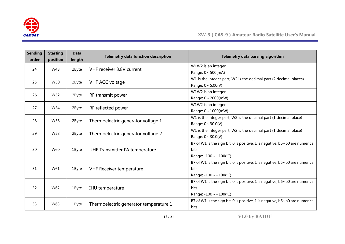

| <b>Sending</b><br>order | <b>Starting</b><br>position | <b>Data</b><br>length | <b>Telemetry data function description</b> | Telemetry data parsing algorithm                                                   |
|-------------------------|-----------------------------|-----------------------|--------------------------------------------|------------------------------------------------------------------------------------|
| 24                      | W48                         | 2Byte                 | VHF receiver 3.8V current                  | W1W2 is an integer                                                                 |
|                         |                             |                       |                                            | Range: $0 \sim 500$ (mA)                                                           |
| 25                      | W50                         | 2Byte                 | VHF AGC voltage                            | W1 is the integer part, W2 is the decimal part (2 decimal places)                  |
|                         |                             |                       |                                            | Range: $0 \sim 5.00(V)$                                                            |
| 26                      | W52                         | 2Byte                 |                                            | W1W2 is an integer                                                                 |
|                         |                             |                       | RF transmit power                          | Range: $0 \sim 2000$ (mW)                                                          |
| 27                      | W54                         |                       |                                            | W1W2 is an integer                                                                 |
|                         |                             | 2Byte                 | RF reflected power                         | Range: $0 \sim 1000$ (mW)                                                          |
| 28                      | W56                         |                       |                                            | W1 is the integer part, W2 is the decimal part (1 decimal place)                   |
|                         |                             | 2Byte                 | Thermoelectric generator voltage 1         | Range: $0 \sim 30.0(V)$                                                            |
| 29                      |                             |                       |                                            | W1 is the integer part, W2 is the decimal part (1 decimal place)                   |
|                         | W58                         | 2Byte                 | Thermoelectric generator voltage 2         | Range: $0 \sim 30.0(V)$                                                            |
|                         |                             |                       |                                            | B7 of W1 is the sign bit, 0 is positive, 1 is negative; b6~b0 are numerical        |
| 30                      | W60                         | 1Byte                 | UHF Transmitter PA temperature             | <b>bits</b>                                                                        |
|                         |                             |                       |                                            | Range: $-100 \sim +100$ (°C)                                                       |
|                         |                             |                       |                                            | B7 of W1 is the sign bit, 0 is positive, 1 is negative; $b6 \sim b0$ are numerical |
| 31                      | W61                         | 1Byte                 | <b>VHF Receiver temperature</b>            | <b>bits</b>                                                                        |
|                         |                             |                       |                                            | Range: $-100 \sim +100$ (°C)                                                       |
|                         |                             |                       |                                            | B7 of W1 is the sign bit, 0 is positive, 1 is negative; b6~b0 are numerical        |
| 32                      | W62                         | 1Byte                 | IHU temperature                            | <b>bits</b>                                                                        |
|                         |                             |                       |                                            | Range: $-100 \sim +100$ (°C)                                                       |
|                         |                             |                       |                                            | B7 of W1 is the sign bit, 0 is positive, 1 is negative; b6~b0 are numerical        |
| W63<br>33               |                             | 1Byte                 | Thermoelectric generator temperature 1     | bits                                                                               |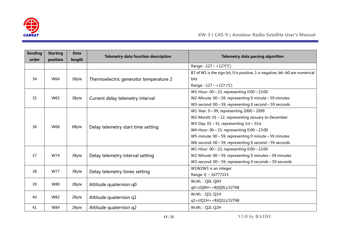

| <b>Sending</b><br>order | <b>Starting</b><br>position | <b>Data</b><br>length | <b>Telemetry data function description</b>           | Telemetry data parsing algorithm                                                                                 |
|-------------------------|-----------------------------|-----------------------|------------------------------------------------------|------------------------------------------------------------------------------------------------------------------|
|                         |                             |                       |                                                      | Range: $-127 \sim +127$ (°C)                                                                                     |
|                         |                             |                       |                                                      | B7 of W1 is the sign bit, 0 is positive, 1 is negative; b6~b0 are numerical                                      |
| 34                      | W64                         | 1Byte                 | Thermoelectric generator temperature 2               | bits                                                                                                             |
|                         |                             |                       |                                                      | Range: -127 ~ +127 (°C)                                                                                          |
|                         |                             |                       |                                                      | W1-Hour: $00 \sim 23$ , representing $0:00 \sim 23:00$                                                           |
| 35                      | W65                         | 3Byte                 | Current delay telemetry interval                     | W2-Minute: $00 \sim 59$ , representing 0 minute $\sim 59$ minutes                                                |
|                         |                             |                       |                                                      | W3-second: $00 \sim 59$ , representing 0 second $\sim 59$ seconds                                                |
|                         |                             |                       | W1-Year: $0 \sim 99$ , representing $2000 \sim 2099$ |                                                                                                                  |
|                         |                             |                       |                                                      | W2-Month: $01 \sim 12$ , representing January to December<br>W3-Day: $01 \sim 31$ , representing $1st \sim 31st$ |
| 36                      | W68                         | 6Byte                 | Delay telemetry start time setting                   |                                                                                                                  |
|                         |                             |                       |                                                      | W4-Hour: $00 \sim 23$ , representing $0:00 \sim 23:00$                                                           |
|                         |                             |                       |                                                      | W5-minute: $00 \sim 59$ , representing 0 minute $\sim 59$ minutes                                                |
|                         |                             |                       |                                                      | W6-second: $00 \sim 59$ , representing 0 second $\sim 59$ seconds                                                |
|                         |                             | 3Byte                 | Delay telemetry interval setting                     | W1-Hour: $00 \sim 23$ , representing $0:00 \sim 23:00$                                                           |
| 37                      | W74                         |                       |                                                      | W2-Minute: $00 \sim 59$ , representing 0 minutes $\sim 59$ minutes                                               |
|                         |                             |                       |                                                      | W3-second: $00 \sim 59$ , representing 0 seconds $\sim 59$ seconds                                               |
| 38                      | W77                         | 3Byte                 | Delay telemetry times setting                        | W1W2W3 is an integer                                                                                             |
|                         |                             |                       |                                                      | Range: 0 ~ 16777215                                                                                              |
| 39                      | W80                         |                       |                                                      | $W_1W_2$ : Q0L Q0H                                                                                               |
|                         |                             | 2Byte                 | Attitude quaternion q0                               | q0=((Q0H < < 8) Q0L)/32768                                                                                       |
| 40                      | W82                         |                       |                                                      | $W_1W_2$ : Q1L Q1H                                                                                               |
|                         |                             | 2Byte                 | Attitude quaternion q1                               | $q1 = ((Q1H < 8)   Q1L)/32768$                                                                                   |
| 41                      | W84                         | 2Byte                 | Attitude quaternion q2                               | $W_1W_2$ : Q2L Q2H                                                                                               |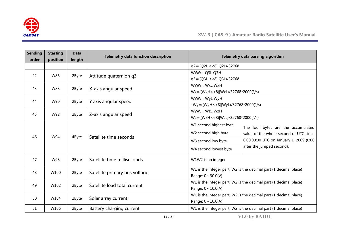

| <b>Sending</b><br>order | <b>Starting</b><br>position | <b>Data</b><br>length | <b>Telemetry data function description</b> |                                                                  | Telemetry data parsing algorithm                                 |  |  |  |  |
|-------------------------|-----------------------------|-----------------------|--------------------------------------------|------------------------------------------------------------------|------------------------------------------------------------------|--|--|--|--|
|                         |                             |                       |                                            | q2=((Q2H < < 8) Q2L)/32768                                       |                                                                  |  |  |  |  |
| 42                      | W86                         | 2Byte                 | Attitude quaternion q3                     | $W_1W_2$ : Q3L Q3H                                               |                                                                  |  |  |  |  |
|                         |                             |                       |                                            | q3=((Q3H < < 8) Q3L)/32768                                       |                                                                  |  |  |  |  |
| 43                      | W88                         | 2Byte                 | X-axis angular speed                       | $W_1W_2$ : WxL WxH                                               |                                                                  |  |  |  |  |
|                         |                             |                       |                                            | $Wx = ((WxH < 8) WxL)/32768*2000(°/s))$                          |                                                                  |  |  |  |  |
| 44                      | W90                         | 2Byte                 | Y axis angular speed                       | $W_1W_2$ : WyL WyH                                               |                                                                  |  |  |  |  |
|                         |                             |                       |                                            | Wy=((WyH<<8) WyL)/32768*2000(°/s)                                |                                                                  |  |  |  |  |
| 45                      | W92                         | 2Byte                 | Z-axis angular speed                       | $W_1W_2$ : WzL WzH                                               |                                                                  |  |  |  |  |
|                         |                             |                       |                                            | Wz=((WzH < < 8)   WzL)/32768*2000(°/s)                           |                                                                  |  |  |  |  |
|                         |                             | 4Byte                 | Satellite time seconds                     | W1 second highest byte                                           | The four bytes are the accumulated                               |  |  |  |  |
| 46                      | W94                         |                       |                                            | W2 second high byte                                              | value of the whole second of UTC since                           |  |  |  |  |
|                         |                             |                       |                                            | W3 second low byte                                               | 0:00:00:00 UTC on January 1, 2009 (0:00                          |  |  |  |  |
|                         |                             |                       |                                            | W4 second lowest byte                                            | after the jumped second).                                        |  |  |  |  |
| 47                      | W98                         | 2Byte                 | Satellite time milliseconds                | W1W2 is an integer                                               |                                                                  |  |  |  |  |
| 48                      | W100                        |                       | Satellite primary bus voltage              | W1 is the integer part, W2 is the decimal part (1 decimal place) |                                                                  |  |  |  |  |
|                         | 2Byte                       |                       |                                            | Range: $0 \sim 30.0(V)$                                          |                                                                  |  |  |  |  |
| 49                      | W102                        |                       | Satellite load total current               |                                                                  | W1 is the integer part, W2 is the decimal part (1 decimal place) |  |  |  |  |
|                         |                             | 2Byte                 |                                            | Range: $0 \sim 10.0(A)$                                          |                                                                  |  |  |  |  |
| 50                      | W104                        | 2Byte                 |                                            |                                                                  | W1 is the integer part, W2 is the decimal part (1 decimal place) |  |  |  |  |
|                         |                             |                       | Solar array current                        | Range: $0 \sim 10.0(A)$                                          |                                                                  |  |  |  |  |
| 51                      | W106                        | 2Byte                 | Battery charging current                   | W1 is the integer part, W2 is the decimal part (1 decimal place) |                                                                  |  |  |  |  |

**14/21 V1.0 by BA1DU**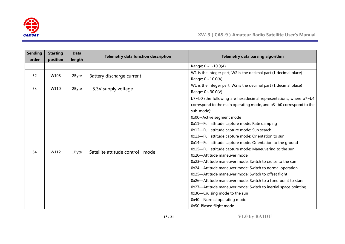

| <b>Sending</b><br>order | <b>Starting</b> | <b>Data</b> | <b>Telemetry data function description</b> | Telemetry data parsing algorithm                                          |  |  |
|-------------------------|-----------------|-------------|--------------------------------------------|---------------------------------------------------------------------------|--|--|
|                         | position        | length      |                                            | Range: $0 \sim -10.0(A)$                                                  |  |  |
|                         |                 |             |                                            | W1 is the integer part, W2 is the decimal part (1 decimal place)          |  |  |
| 52                      | W108            | 2Byte       | Battery discharge current                  | Range: $0 \sim 10.0(A)$                                                   |  |  |
|                         |                 |             |                                            | W1 is the integer part, W2 is the decimal part (1 decimal place)          |  |  |
| 53                      | W110            | 2Byte       | +5.3V supply voltage                       | Range: $0 \sim 30.0(V)$                                                   |  |  |
|                         |                 |             |                                            | b7~b0 (the following are hexadecimal representations, where b7~b4         |  |  |
|                         |                 |             |                                            | correspond to the main operating mode, and $b3 \sim b0$ correspond to the |  |  |
|                         |                 |             |                                            | sub-mode):                                                                |  |  |
|                         |                 |             |                                            | 0x00--Active segment mode                                                 |  |  |
|                         |                 |             |                                            | 0x11-Full attitude capture mode: Rate damping                             |  |  |
|                         |                 |             |                                            | 0x12-Full attitude capture mode: Sun search                               |  |  |
|                         |                 |             |                                            | 0x13-Full attitude capture mode: Orientation to sun                       |  |  |
|                         |                 |             |                                            | 0x14-Full attitude capture mode: Orientation to the ground                |  |  |
|                         |                 |             |                                            | 0x15-Full attitude capture mode: Maneuvering to the sun                   |  |  |
| 54                      | W112            | 1Byte       | Satellite attitude control mode            | 0x20-Attitude maneuver mode                                               |  |  |
|                         |                 |             |                                            | 0x23-Attitude maneuver mode: Switch to cruise to the sun                  |  |  |
|                         |                 |             |                                            | 0x24-Attitude maneuver mode: Switch to normal operation                   |  |  |
|                         |                 |             |                                            | 0x25-Attitude maneuver mode: Switch to offset flight                      |  |  |
|                         |                 |             |                                            | 0x26-Attitude maneuver mode: Switch to a fixed point to stare             |  |  |
|                         |                 |             |                                            | 0x27-Attitude maneuver mode: Switch to inertial space pointing            |  |  |
|                         |                 |             |                                            | 0x30-Cruising mode to the sun                                             |  |  |
|                         |                 |             |                                            | 0x40-Normal operating mode                                                |  |  |
|                         |                 |             |                                            | 0x50-Biased flight mode                                                   |  |  |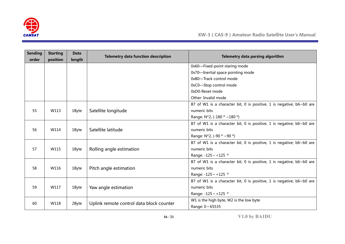

| <b>Sending</b><br>order | <b>Starting</b><br>position | <b>Data</b><br>length | <b>Telemetry data function description</b> | Telemetry data parsing algorithm                                     |  |  |
|-------------------------|-----------------------------|-----------------------|--------------------------------------------|----------------------------------------------------------------------|--|--|
|                         |                             |                       |                                            | 0x60-Fixed-point staring mode                                        |  |  |
|                         |                             |                       |                                            | 0x70-Inertial space pointing mode                                    |  |  |
|                         |                             |                       |                                            | 0xB0-Track control mode                                              |  |  |
|                         |                             |                       |                                            |                                                                      |  |  |
|                         |                             |                       |                                            | 0xC0-Stop control mode                                               |  |  |
|                         |                             |                       |                                            | 0xD0-Reset mode                                                      |  |  |
|                         |                             |                       |                                            | Other: Invalid mode                                                  |  |  |
|                         |                             |                       |                                            | B7 of W1 is a character bit, 0 is positive, 1 is negative; b6~b0 are |  |  |
| 55                      | W113                        | 1Byte                 | Satellite longitude                        | numeric bits                                                         |  |  |
|                         |                             |                       |                                            | Range: $N*2$ , (-180 $\degree$ ~180 $\degree$ )                      |  |  |
|                         |                             |                       |                                            | B7 of W1 is a character bit, 0 is positive, 1 is negative; b6~b0 are |  |  |
| 56                      | W114                        | 1Byte                 | Satellite latitude                         | numeric bits                                                         |  |  |
|                         |                             |                       |                                            | Range: $N*2$ , (-90 $\degree$ ~90 $\degree$ )                        |  |  |
|                         |                             |                       |                                            | B7 of W1 is a character bit, 0 is positive, 1 is negative; b6~b0 are |  |  |
| 57                      | W115                        | 1Byte                 | Rolling angle estimation                   | numeric bits                                                         |  |  |
|                         |                             |                       |                                            | Range: $-125 \sim +125$ °                                            |  |  |
|                         |                             |                       |                                            | B7 of W1 is a character bit, 0 is positive, 1 is negative; b6~b0 are |  |  |
| 58                      | W116                        | 1Byte                 | Pitch angle estimation                     | numeric bits                                                         |  |  |
|                         |                             |                       |                                            | Range: $-125 \sim +125$ °                                            |  |  |
|                         |                             |                       |                                            | B7 of W1 is a character bit, 0 is positive, 1 is negative; b6~b0 are |  |  |
| 59                      | W117                        | 1Byte                 | Yaw angle estimation                       | numeric bits                                                         |  |  |
|                         |                             |                       |                                            | Range: -125 ~ +125 °                                                 |  |  |
|                         |                             |                       |                                            | W1 is the high byte, W2 is the low byte                              |  |  |
| 60                      | W118                        | 2Byte                 | Uplink remote control data block counter   | Range: 0~65535                                                       |  |  |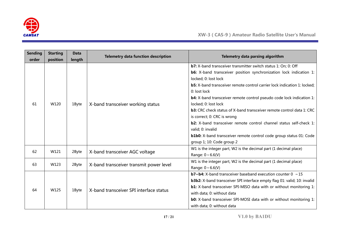

| <b>Sending</b> | <b>Starting</b> | <b>Data</b> | <b>Telemetry data function description</b> | Telemetry data parsing algorithm                                                                                                                                                                                                                                                                                                                                                                                                                                                                                                                                                                                                                                            |  |  |
|----------------|-----------------|-------------|--------------------------------------------|-----------------------------------------------------------------------------------------------------------------------------------------------------------------------------------------------------------------------------------------------------------------------------------------------------------------------------------------------------------------------------------------------------------------------------------------------------------------------------------------------------------------------------------------------------------------------------------------------------------------------------------------------------------------------------|--|--|
| order          | position        | length      |                                            |                                                                                                                                                                                                                                                                                                                                                                                                                                                                                                                                                                                                                                                                             |  |  |
| 61             | W120            | 1Byte       | X-band transceiver working status          | <b>b7:</b> X-band transceiver transmitter switch status 1: On; 0: Off<br><b>b6:</b> X-band transceiver position synchronization lock indication 1:<br>locked; 0: lost lock<br><b>b5:</b> X-band transceiver remote control carrier lock indication 1: locked;<br>0: lost lock<br><b>b4:</b> X-band transceiver remote control pseudo code lock indication 1:<br>locked; 0: lost lock<br>b3: CRC check status of X-band transceiver remote control data 1: CRC<br>is correct; 0: CRC is wrong<br><b>b2:</b> X-band transceiver remote control channel status self-check 1:<br>valid; 0: invalid<br><b>b1b0:</b> X-band transceiver remote control code group status 01: Code |  |  |
|                |                 |             |                                            | group 1; 10: Code group 2<br>W1 is the integer part, W2 is the decimal part (1 decimal place)                                                                                                                                                                                                                                                                                                                                                                                                                                                                                                                                                                               |  |  |
| 62             | W121            | 2Byte       | X-band transceiver AGC voltage             | Range: $0 \sim 6.6(V)$                                                                                                                                                                                                                                                                                                                                                                                                                                                                                                                                                                                                                                                      |  |  |
| 63             | W123            | 2Byte       | X-band transceiver transmit power level    | W1 is the integer part, W2 is the decimal part (1 decimal place)<br>Range: $0 \sim 6.6(V)$                                                                                                                                                                                                                                                                                                                                                                                                                                                                                                                                                                                  |  |  |
| 64             | W125            | 1Byte       | X-band transceiver SPI interface status    | <b>b7~b4:</b> X-band transceiver baseband execution counter $0 \sim 15$<br><b>b3b2:</b> X-band transceiver SPI interface empty flag 01: valid; 10: invalid<br><b>b1:</b> X-band transceiver SPI-MISO data with or without monitoring 1:<br>with data; 0: without data<br><b>b0:</b> X-band transceiver SPI-MOSI data with or without monitoring 1:<br>with data; 0: without data                                                                                                                                                                                                                                                                                            |  |  |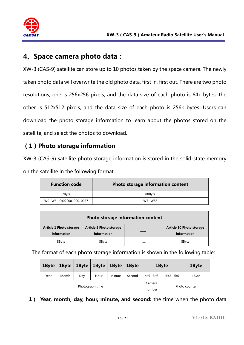

# **4、Space camera photo data:**

XW-3 (CAS-9) satellite can store up to 10 photos taken by the space camera. The newly taken photo data will overwrite the old photo data, first in, first out. There are two photo resolutions, one is 256x256 pixels, and the data size of each photo is 64k bytes; the other is 512x512 pixels, and the data size of each photo is 256k bytes. Users can download the photo storage information to learn about the photos stored on the satellite, and select the photos to download.

## **(1)Photo storage information**

XW-3 (CAS-9) satellite photo storage information is stored in the solid-state memory on the satellite in the following format.

| <b>Function code</b>   | Photo storage information content |
|------------------------|-----------------------------------|
| 7Bvte                  | 80Byte                            |
| W0~W6:0x02000100010057 | W7~W86                            |

| Photo storage information content      |                                               |  |                                         |  |  |  |  |  |
|----------------------------------------|-----------------------------------------------|--|-----------------------------------------|--|--|--|--|--|
| Article 1 Photo storage<br>information | <b>Article 2 Photo storage</b><br>information |  | Article 10 Photo storage<br>information |  |  |  |  |  |
| 8Byte                                  | 8Byte                                         |  | 8Byte                                   |  |  |  |  |  |

The format of each photo storage information is shown in the following table:

| 1Byte | 1Byte | 1Byte | $1$ Byte        | 1Byte  | 1Byte  | 1Byte         |                  | 1Byte |
|-------|-------|-------|-----------------|--------|--------|---------------|------------------|-------|
| Year  | Month | Day   | Hour            | Minute | Second | bit7~Bit3     | $Bit2~\sim$ Bit0 | 1Byte |
|       |       |       | Photograph time |        | Camera | Photo counter |                  |       |
|       |       |       |                 |        | number |               |                  |       |

**1) Year, month, day, hour, minute, and second:** the time when the photo data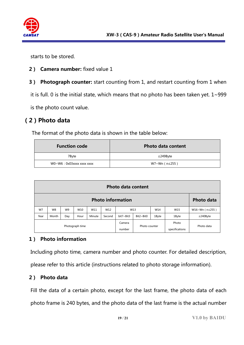

starts to be stored.

- **2) Camera number:** fixed value 1
- **3) Photograph counter:** start counting from 1, and restart counting from 1 when

it is full. 0 is the initial state, which means that no photo has been taken yet.  $1 \sim 999$ 

is the photo count value.

## **(2)Photo data**

The format of the photo data is shown in the table below:

| <b>Function code</b>      | <b>Photo data content</b> |
|---------------------------|---------------------------|
| 7Byte                     | $\leq$ 249Byte            |
| WO~W6: 0x03xxxx xxxx xxxx | W7~Wn (n≤255)             |

|                 | <b>Photo data content</b>                     |                |                 |        |                  |                                                 |            |                         |            |                          |
|-----------------|-----------------------------------------------|----------------|-----------------|--------|------------------|-------------------------------------------------|------------|-------------------------|------------|--------------------------|
|                 | <b>Photo information</b><br><b>Photo data</b> |                |                 |        |                  |                                                 |            |                         |            |                          |
| W7              | W8                                            | W <sub>9</sub> | W <sub>10</sub> | W11    | W12              |                                                 | W13<br>W14 |                         | W15        | $W16~Wn$ ( $n \le 255$ ) |
| Year            | Month                                         | Day            | Hour            | Minute | Second           | $Bit2 \sim Bit0$<br>bit7~Bit3<br>1Byte<br>1Byte |            |                         |            | $\leq$ 240Byte           |
| Photograph time |                                               |                |                 |        | Camera<br>number | Photo counter                                   |            | Photo<br>specifications | Photo data |                          |

#### **1) Photo information**

Including photo time, camera number and photo counter. For detailed description,

please refer to this article (instructions related to photo storage information).

#### **2) Photo data**

Fill the data of a certain photo, except for the last frame, the photo data of each photo frame is 240 bytes, and the photo data of the last frame is the actual number